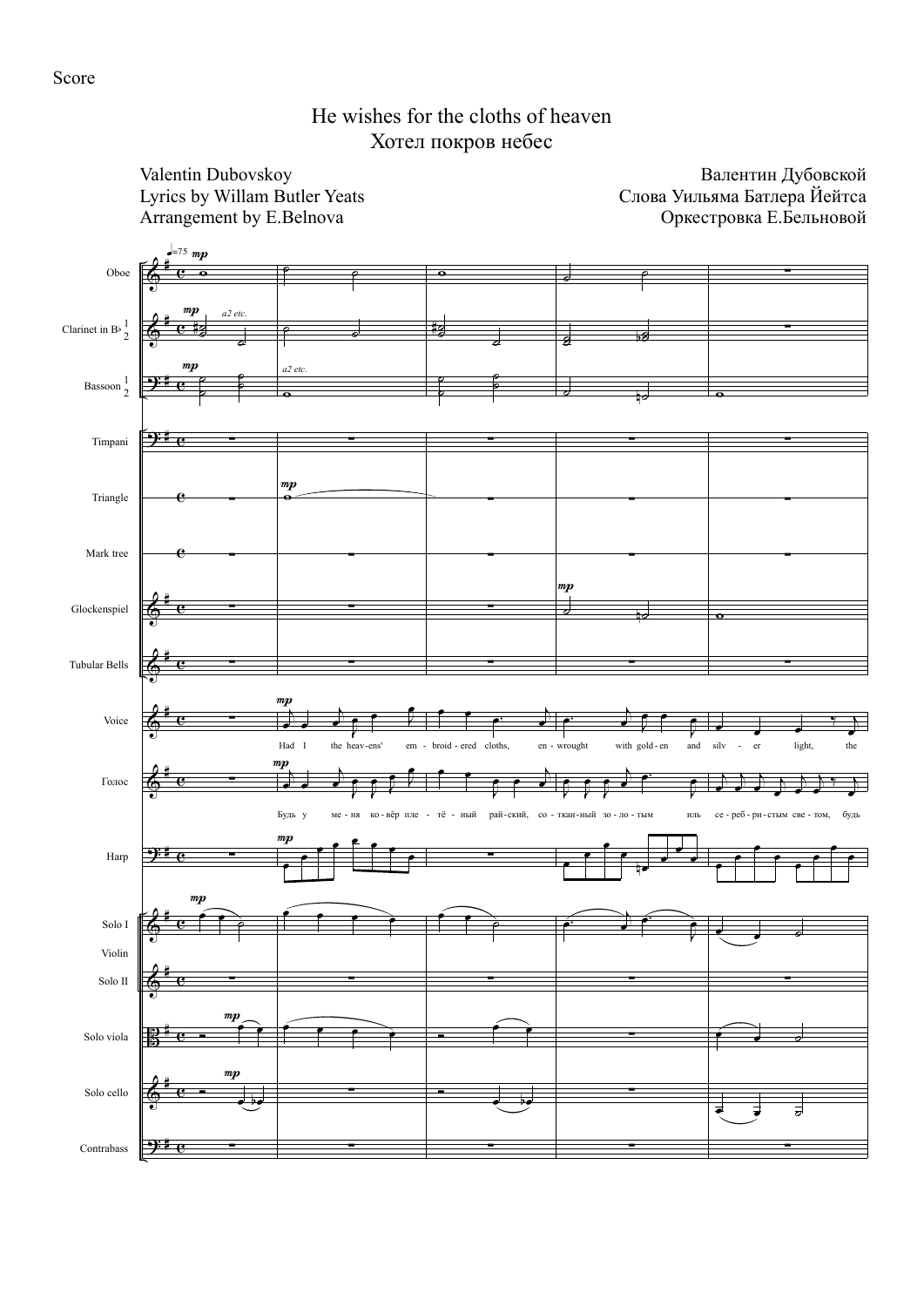## He wishes for the cloths of heaven Хотел покров небес

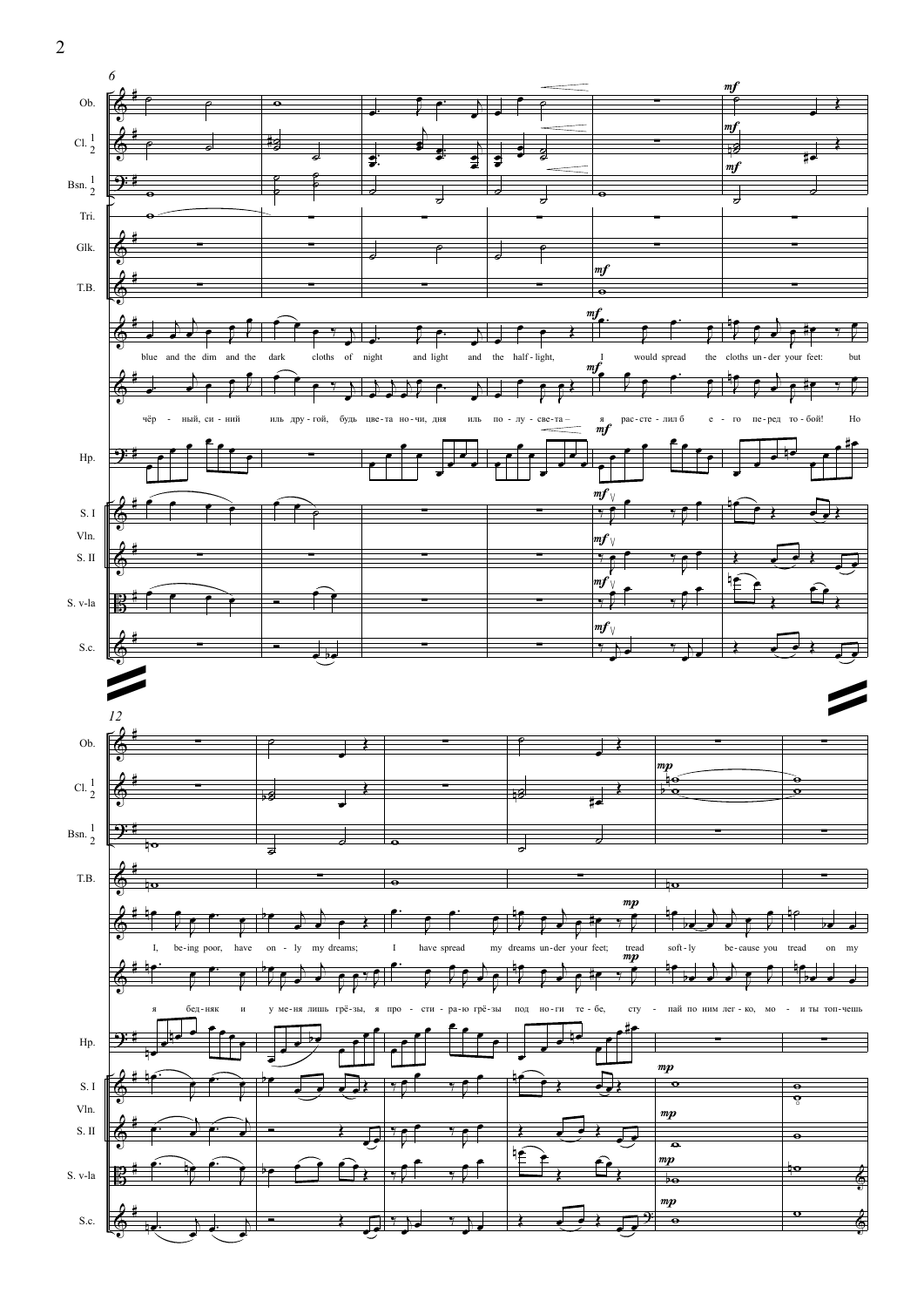